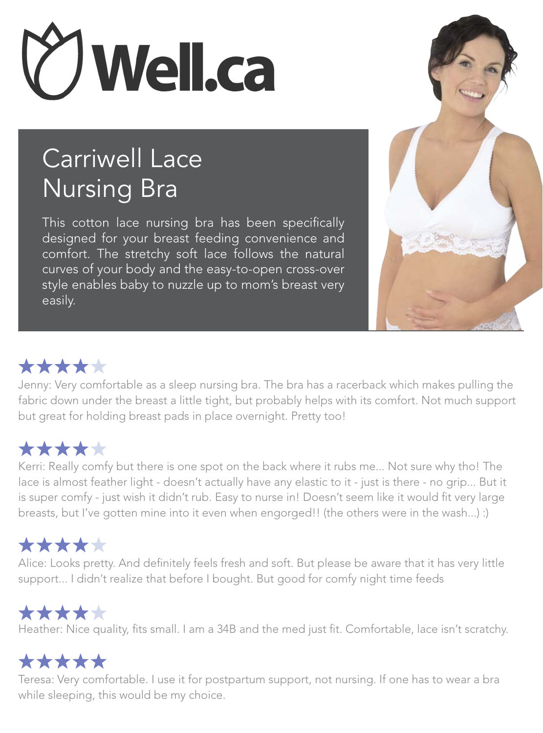

## Carriwell Lace Nursing Bra

This cotton lace nursing bra has been specifically designed for your breast feeding convenience and comfort. The stretchy soft lace follows the natural curves of your body and the easy-to-open cross-over style enables baby to nuzzle up to mom's breast very easily.



## \*\*\*\*\*

Jenny: Very comfortable as a sleep nursing bra. The bra has a racerback which makes pulling the fabric down under the breast a little tight, but probably helps with its comfort. Not much support but great for holding breast pads in place overnight. Pretty too!

## \*\*\*\*\*

Kerri: Really comfy but there is one spot on the back where it rubs me... Not sure why tho! The lace is almost feather light - doesn't actually have any elastic to it - just is there - no grip... But it is super comfy - just wish it didn't rub. Easy to nurse in! Doesn't seem like it would fit very large breasts, but I've gotten mine into it even when engorged!! (the others were in the wash...) :)

## \*\*\*\*\*

Alice: Looks pretty. And definitely feels fresh and soft. But please be aware that it has very little support... I didn't realize that before I bought. But good for comfy night time feeds

## \*\*\*\*\*

Heather: Nice quality, fits small. I am a 34B and the med just fit. Comfortable, lace isn't scratchy.

## \*\*\*\*\*

Teresa: Very comfortable. I use it for postpartum support, not nursing. If one has to wear a bra while sleeping, this would be my choice.